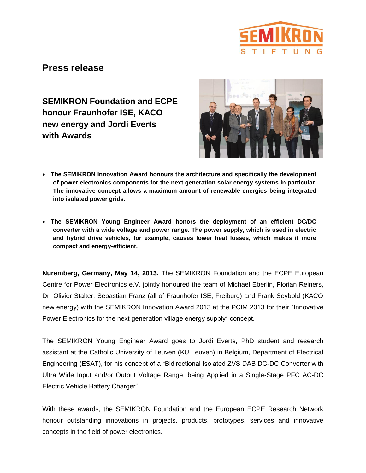

# **Press release**

**SEMIKRON Foundation and ECPE honour Fraunhofer ISE, KACO new energy and Jordi Everts with Awards**



- **The SEMIKRON Innovation Award honours the architecture and specifically the development of power electronics components for the next generation solar energy systems in particular. The innovative concept allows a maximum amount of renewable energies being integrated into isolated power grids.**
- **The SEMIKRON Young Engineer Award honors the deployment of an efficient DC/DC converter with a wide voltage and power range. The power supply, which is used in electric and hybrid drive vehicles, for example, causes lower heat losses, which makes it more compact and energy-efficient.**

**Nuremberg, Germany, May 14, 2013.** The SEMIKRON Foundation and the ECPE European Centre for Power Electronics e.V. jointly honoured the team of Michael Eberlin, Florian Reiners, Dr. Olivier Stalter, Sebastian Franz (all of Fraunhofer ISE, Freiburg) and Frank Seybold (KACO new energy) with the SEMIKRON Innovation Award 2013 at the PCIM 2013 for their "Innovative Power Electronics for the next generation village energy supply" concept.

The SEMIKRON Young Engineer Award goes to Jordi Everts, PhD student and research assistant at the Catholic University of Leuven (KU Leuven) in Belgium, Department of Electrical Engineering (ESAT), for his concept of a "Bidirectional Isolated ZVS DAB DC-DC Converter with Ultra Wide Input and/or Output Voltage Range, being Applied in a Single-Stage PFC AC-DC Electric Vehicle Battery Charger".

With these awards, the SEMIKRON Foundation and the European ECPE Research Network honour outstanding innovations in projects, products, prototypes, services and innovative concepts in the field of power electronics.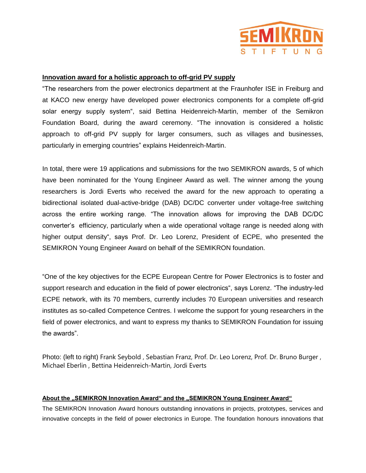

## **Innovation award for a holistic approach to off-grid PV supply**

"The researchers from the power electronics department at the Fraunhofer ISE in Freiburg and at KACO new energy have developed power electronics components for a complete off-grid solar energy supply system", said Bettina Heidenreich-Martin, member of the Semikron Foundation Board, during the award ceremony. "The innovation is considered a holistic approach to off-grid PV supply for larger consumers, such as villages and businesses, particularly in emerging countries" explains Heidenreich-Martin.

In total, there were 19 applications and submissions for the two SEMIKRON awards, 5 of which have been nominated for the Young Engineer Award as well. The winner among the young researchers is Jordi Everts who received the award for the new approach to operating a bidirectional isolated dual-active-bridge (DAB) DC/DC converter under voltage-free switching across the entire working range. "The innovation allows for improving the DAB DC/DC converter's efficiency, particularly when a wide operational voltage range is needed along with higher output density", says Prof. Dr. Leo Lorenz, President of ECPE, who presented the SEMIKRON Young Engineer Award on behalf of the SEMIKRON foundation.

"One of the key objectives for the ECPE European Centre for Power Electronics is to foster and support research and education in the field of power electronics", says Lorenz. "The industry-led ECPE network, with its 70 members, currently includes 70 European universities and research institutes as so-called Competence Centres. I welcome the support for young researchers in the field of power electronics, and want to express my thanks to SEMIKRON Foundation for issuing the awards".

Photo: (left to right) Frank Seybold , Sebastian Franz, Prof. Dr. Leo Lorenz, Prof. Dr. Bruno Burger , Michael Eberlin , Bettina Heidenreich-Martin, Jordi Everts

## **About the "SEMIKRON Innovation Award" and the "SEMIKRON Young Engineer Award"**

The SEMIKRON Innovation Award honours outstanding innovations in projects, prototypes, services and innovative concepts in the field of power electronics in Europe. The foundation honours innovations that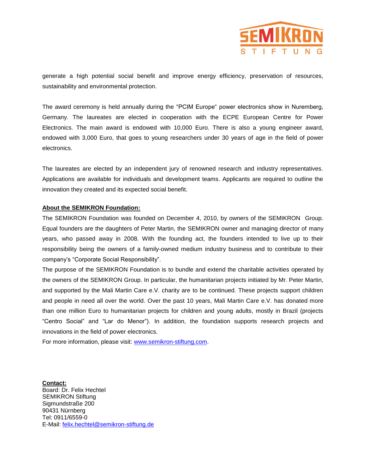

generate a high potential social benefit and improve energy efficiency, preservation of resources, sustainability and environmental protection.

The award ceremony is held annually during the "PCIM Europe" power electronics show in Nuremberg, Germany. The laureates are elected in cooperation with the ECPE European Centre for Power Electronics. The main award is endowed with 10,000 Euro. There is also a young engineer award, endowed with 3,000 Euro, that goes to young researchers under 30 years of age in the field of power electronics.

The laureates are elected by an independent jury of renowned research and industry representatives. Applications are available for individuals and development teams. Applicants are required to outline the innovation they created and its expected social benefit.

### **About the SEMIKRON Foundation:**

The SEMIKRON Foundation was founded on December 4, 2010, by owners of the SEMIKRON Group. Equal founders are the daughters of Peter Martin, the SEMIKRON owner and managing director of many years, who passed away in 2008. With the founding act, the founders intended to live up to their responsibility being the owners of a family-owned medium industry business and to contribute to their company's "Corporate Social Responsibility".

The purpose of the SEMIKRON Foundation is to bundle and extend the charitable activities operated by the owners of the SEMIKRON Group. In particular, the humanitarian projects initiated by Mr. Peter Martin, and supported by the Mali Martin Care e.V. charity are to be continued. These projects support children and people in need all over the world. Over the past 10 years, Mali Martin Care e.V. has donated more than one million Euro to humanitarian projects for children and young adults, mostly in Brazil (projects "Centro Social" and "Lar do Menor"). In addition, the foundation supports research projects and innovations in the field of power electronics.

For more information, please visit: [www.semikron-stiftung.com.](http://www.semikron-stiftung.com/)

**Contact:**  Board: Dr. Felix Hechtel SEMIKRON Stiftung Sigmundstraße 200 90431 Nürnberg Tel: 0911/6559-0 E-Mail: [felix.hechtel@semikron-stiftung.de](mailto:felix.hechtel@semikron-stiftung.de)